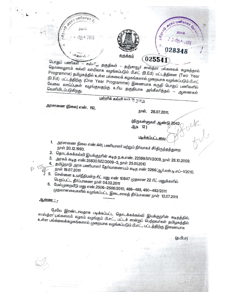

பொதுப் பணிகள் — கல்விய தகுதிகள் — தஞ்சாவூர் சாஸ்த்ரா பல்கலைக் கழகத்தால் தொலைதுாரக் கல்வி வாயிலாக வழங்கப்படும் பி.எட் (B.Ed) பட்டத்தினை (Two Year Programme) தமிழகத்தில் உள்ள பல்கலைக் கழகங்களால் முறையாக வழங்கப்படும் பி.எட் (B.Ed) பட்டத்திற்கு (One Year Programme) இணையாக கருதி பொதுப் பணிகளில் வேலை வாய்ப்புகள் வழங்குவதற்கு உரிய தகுதியாக அங்கீகரித்தல் — ஆணைகள்

பள்ளிக் கல்லி (எம் ?) நுறை

அரசாணை (நிலை) எண். 112,

நாள். 28.07.2011.

(திருவள்ளுவர் ஆண்டு 2042 ஆடி 12)

படிக்கப்பட்டவை

- அரசாணை நிலை எண்.441, பணியாளர் மற்றும் நிர்வாகச் சீர்திருத்தத்துறை 1.
- 2.
- தொடக்கக்கல்வி இயக்குநரின் கடித ந.க.எண். 22599/M1/2009, நாள் 28.10.2009. 3. அரசுக் கடித எண்.35830/M2/2009–3, நாள் 25.01.2010
- தமிழ்நாடு அரசு பணியாளா தோவாணையம் கடித எண் 3266/ஆா்.என்.டி.எப்–1/2010, 4.
- 5.
- .<br>சென்னை உயர்நீதிமன்ற ரிட் மனு எண் 10847 முதலான 22 ரிட் மனுக்களில் பெறப்பட்ட தீா்ப்பாணை நாள் 04.02.2011
- 6. மேல்முறையீடு மனு எண்.2506-2508/2010, 486-488, 490-492/2011 முதலானவைகளில் வழங்கப்பட்ட இடைகாலத் தீா்ப்பாணை நாள் 13.07.2011

<u>ஆணை : -</u>

மேலே இரண்டாவதாக படிக்கப்பட்ட தொடக்கக்கல்வி இயக்குநரின் கடிதத்தில், சாஸ்த்ரா பல்கலைக் கழகம் வழங்கும் பி.எட்., பட்டச் சான்றுப் பெற்றவாகள் தமிழகத்தில் உள்ள பல்கலைக்கழகங்களால் முறையாக வழங்கப்படும் பி.எட்., பட்டத்திற்கு இணையாக

(த.பிபா)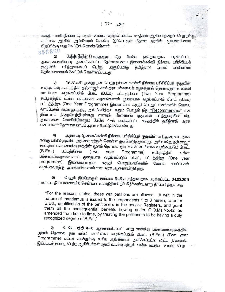கருதி பணி நியமனம், பதவி உயாவு மற்றும் ஊக்க ஊதியம் ஆகியவற்றைப் பெறுதல் சாா்பாக அரசின் அங்கீகாரம் வேண்டி இப்பொருள் மீதான அரசின் ஆணையிணை பிறப்பிக்குமாறு கேட்டுக் கொண்டுள்ளார். **BAESSO** 

 $172.27$ 

மேற்காணும் | கருத்துரு  $2)$ மீது மேலே ஒன்றாவதாக படிக்கப்பட்ட அரசாணையின்படி அமைக்கப்பட்ட தேர்வாணைய இணைக்கல்வி நிர்ணய பரிசீலிப்புக் பரிந்துரையைப் பெ<u>ற்று</u> சூழுவின் அனுப்புமாறு தமிழ்நாடு அரசுப் பணியாளர் தேர்வாணையம் கேட்டுக் கொள்ளப்பட்டது.

3) 19.07.2011 அன்று நடைபெற்ற இணைக்கல்வி நிர்ணய பரிசீலிப்புக் குழுவின் கலந்தாய்வு கூட்டத்தில் தஞ்சாவூர் சாஸ்த்ரா பல்கலைக் கழகத்தால் தொலைதுாரக் கல்வி வாயிலாக வழங்கப்படும் பி.எட் (B.Ed) பட்டத்தினை (Two Year Programme) தமிழகத்தில் உள்ள பல்கலைக் கழகங்களால் முறையாக வழங்கப்படும் பி.எட் (B.Ed) பட்டத்திற்கு (One Year Programme) இணையாக கருதி பொதுப் பணிகளில் வேலை வாய்ப்புகள் வழங்குவதற்கு அங்கீகாித்தல் எனும் பொருள் மீது ''Recommended" என .<br>தீா்மானம் நிறைவேற்றியுள்ளது எனவும், மேற்காண் குழுவின் பாிந்துரையின் மீது அரசாணை வெளியிடுமாறும் மேலே 4—ல் படிக்கப்பட்ட கடிதத்தில் தமிழ்நாடு அரசு பணியாளர் தேர்வாணையம் அரசை கேட்டுக்கொண்டது.

அதன்படி இணைக்கல்வி நிா்ணய பாிசீலிப்புக் குழுவின் பாிந்துரையை அரசு  $\left(4\right)$ நன்கு பாிசீலித்தபின் அதனை ஏற்றுக் கொள்ள முடிவெடுத்துள்ளது. அவ்வாறே, தஞ்சாவூர் சாஸ்த்ரா பல்கலைக்கழகத்தின் மூலம் தொலை தூர கல்வி வாயிலாக வழங்கப்படும் பி.எட்.  $(B.Ed.,)$ பட்டத்தினை (Two year Programme) தமிழகத்தில் உள்ள பல்கலைக்கழகங்களால் முறையாக வழங்கப்படும் பி.எட்., பட்டத்திற்கு (One year programme) இணையானதாக கருதி பொதுப்பணிகளில் வேலை வாய்ப்புகள் வழங்குவதற்கு அங்கீகரிக்கலாம் என அரசு ஆணையிடுகிறது.

மேலும், இப்பொருள் சாா்பாக மேலே ஐந்தாவதாக படிக்கப்பட்ட 04.02.2011 நாளிட்ட தீாப்பாணையில் சென்னை உயாநீதிமன்றம் கீழ்க்கண்டவாறு தீாப்பளித்துள்ளது.

"For the reasons stated, these writ petitions are allowed. A writ in the nature of mandamus is issued to the respondents 1 to 3 herein, to enter B.Ed., qualification of the petitioners in the service Registers, and grant them all the consequential benefits flowing under G.O.Ms.No.42 as amended from time to time, by treating the petitioners to be having a duly recognized degree of B.Ed.,"

மேலே பத்தி 4—ல் ஆணையிடப்பட்டவாறு சாஸ்த்ரா பல்கலைக்கழகத்தின்  $6)$ மூலம் தொலை தூர கல்வி வாயிலாக வழங்கப்படும் பி.எட். (B.Ed.,) (Two year Programme) பட்டச் சான்றுக்கு உரிய அங்கீகாரம் அளிக்கப்பட்டு விட்ட நிலையில் இப்பட்டச் சான்று பெற்ற ஆசிரியாகள் பதவி உயாவு மற்றும் ஊக்க ஊதிய உயாவு பெற